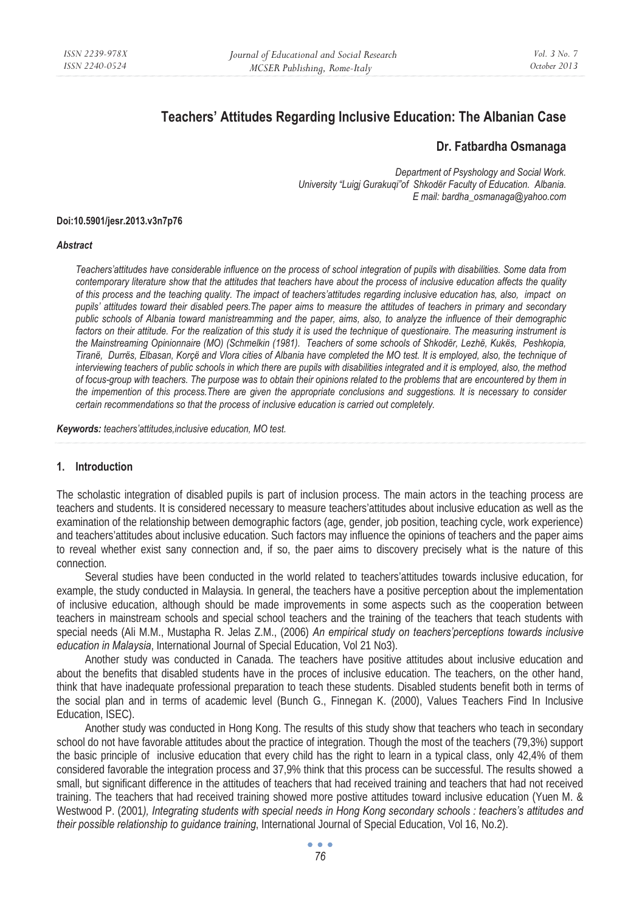# **Teachers' Attitudes Regarding Inclusive Education: The Albanian Case**

## **Dr. Fatbardha Osmanaga**

*Department of Psyshology and Social Work. University "Luigj Gurakuqi"of Shkodër Faculty of Education. Albania. E mail: bardha\_osmanaga@yahoo.com* 

#### **Doi:10.5901/jesr.2013.v3n7p76**

#### *Abstract*

*Teachers'attitudes have considerable influence on the process of school integration of pupils with disabilities. Some data from contemporary literature show that the attitudes that teachers have about the process of inclusive education affects the quality of this process and the teaching quality. The impact of teachers'attitudes regarding inclusive education has, also, impact on pupils' attitudes toward their disabled peers.The paper aims to measure the attitudes of teachers in primary and secondary public schools of Albania toward manistreamming and the paper, aims, also, to analyze the influence of their demographic*  factors on their attitude. For the realization of this study it is used the technique of questionaire. The measuring instrument is *the Mainstreaming Opinionnaire (MO) (Schmelkin (1981). Teachers of some schools of Shkodër, Lezhë, Kukës, Peshkopia, Tiranë, Durrës, Elbasan, Korçë and Vlora cities of Albania have completed the MO test. It is employed, also, the technique of interviewing teachers of public schools in which there are pupils with disabilities integrated and it is employed, also, the method of focus-group with teachers. The purpose was to obtain their opinions related to the problems that are encountered by them in the impemention of this process.There are given the appropriate conclusions and suggestions. It is necessary to consider certain recommendations so that the process of inclusive education is carried out completely.* 

*Keywords: teachers'attitudes,inclusive education, MO test.* 

#### **1. Introduction**

The scholastic integration of disabled pupils is part of inclusion process. The main actors in the teaching process are teachers and students. It is considered necessary to measure teachers'attitudes about inclusive education as well as the examination of the relationship between demographic factors (age, gender, job position, teaching cycle, work experience) and teachers'attitudes about inclusive education. Such factors may influence the opinions of teachers and the paper aims to reveal whether exist sany connection and, if so, the paer aims to discovery precisely what is the nature of this connection.

Several studies have been conducted in the world related to teachers'attitudes towards inclusive education, for example, the study conducted in Malaysia. In general, the teachers have a positive perception about the implementation of inclusive education, although should be made improvements in some aspects such as the cooperation between teachers in mainstream schools and special school teachers and the training of the teachers that teach students with special needs (Ali M.M., Mustapha R. Jelas Z.M., (2006) *An empirical study on teachers'perceptions towards inclusive education in Malaysia*, International Journal of Special Education, Vol 21 No3).

Another study was conducted in Canada. The teachers have positive attitudes about inclusive education and about the benefits that disabled students have in the proces of inclusive education. The teachers, on the other hand, think that have inadequate professional preparation to teach these students. Disabled students benefit both in terms of the social plan and in terms of academic level (Bunch G., Finnegan K. (2000), Values Teachers Find In Inclusive Education, ISEC).

Another study was conducted in Hong Kong. The results of this study show that teachers who teach in secondary school do not have favorable attitudes about the practice of integration. Though the most of the teachers (79,3%) support the basic principle of inclusive education that every child has the right to learn in a typical class, only 42,4% of them considered favorable the integration process and 37,9% think that this process can be successful. The results showed a small, but significant difference in the attitudes of teachers that had received training and teachers that had not received training. The teachers that had received training showed more postive attitudes toward inclusive education (Yuen M. & Westwood P. (2001*), Integrating students with special needs in Hong Kong secondary schools : teachers's attitudes and their possible relationship to guidance training*, International Journal of Special Education, Vol 16, No.2).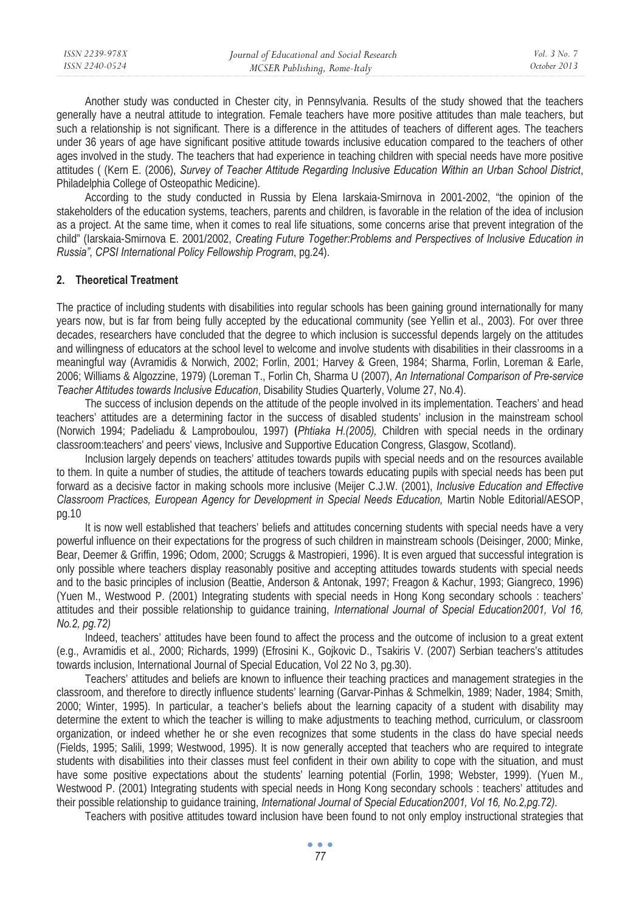| ISSN 2239-978X | Journal of Educational and Social Research | Vol. 3 No. 7 |
|----------------|--------------------------------------------|--------------|
| ISSN 2240-0524 | MCSER Publishing, Rome-Italy               | October 2013 |

Another study was conducted in Chester city, in Pennsylvania. Results of the study showed that the teachers generally have a neutral attitude to integration. Female teachers have more positive attitudes than male teachers, but such a relationship is not significant. There is a difference in the attitudes of teachers of different ages. The teachers under 36 years of age have significant positive attitude towards inclusive education compared to the teachers of other ages involved in the study. The teachers that had experience in teaching children with special needs have more positive attitudes ( (Kern E. (2006), *Survey of Teacher Attitude Regarding Inclusive Education Within an Urban School District*, Philadelphia College of Osteopathic Medicine).

According to the study conducted in Russia by Elena Iarskaia-Smirnova in 2001-2002, "the opinion of the stakeholders of the education systems, teachers, parents and children, is favorable in the relation of the idea of inclusion as a project. At the same time, when it comes to real life situations, some concerns arise that prevent integration of the child" (Iarskaia-Smirnova E. 2001/2002, *Creating Future Together:Problems and Perspectives of Inclusive Education in Russia", CPSI International Policy Fellowship Program*, pg.24).

#### **2. Theoretical Treatment**

The practice of including students with disabilities into regular schools has been gaining ground internationally for many years now, but is far from being fully accepted by the educational community (see Yellin et al., 2003). For over three decades, researchers have concluded that the degree to which inclusion is successful depends largely on the attitudes and willingness of educators at the school level to welcome and involve students with disabilities in their classrooms in a meaningful way (Avramidis & Norwich, 2002; Forlin, 2001; Harvey & Green, 1984; Sharma, Forlin, Loreman & Earle, 2006; Williams & Algozzine, 1979) (Loreman T., Forlin Ch, Sharma U (2007), *An International Comparison of Pre-service Teacher Attitudes towards Inclusive Education*, Disability Studies Quarterly, Volume 27, No.4).

The success of inclusion depends on the attitude of the people involved in its implementation. Teachers' and head teachers' attitudes are a determining factor in the success of disabled students' inclusion in the mainstream school (Norwich 1994; Padeliadu & Lamproboulou, 1997) **(***Phtiaka H.(2005),* Children with special needs in the ordinary classroom:teachers' and peers' views, Inclusive and Supportive Education Congress, Glasgow, Scotland).

Inclusion largely depends on teachers' attitudes towards pupils with special needs and on the resources available to them. In quite a number of studies, the attitude of teachers towards educating pupils with special needs has been put forward as a decisive factor in making schools more inclusive (Meijer C.J.W. (2001), *Inclusive Education and Effective Classroom Practices, European Agency for Development in Special Needs Education,* Martin Noble Editorial/AESOP, pg.10

It is now well established that teachers' beliefs and attitudes concerning students with special needs have a very powerful influence on their expectations for the progress of such children in mainstream schools (Deisinger, 2000; Minke, Bear, Deemer & Griffin, 1996; Odom, 2000; Scruggs & Mastropieri, 1996). It is even argued that successful integration is only possible where teachers display reasonably positive and accepting attitudes towards students with special needs and to the basic principles of inclusion (Beattie, Anderson & Antonak, 1997; Freagon & Kachur, 1993; Giangreco, 1996) (Yuen M., Westwood P. (2001) Integrating students with special needs in Hong Kong secondary schools : teachers' attitudes and their possible relationship to guidance training, *International Journal of Special Education2001, Vol 16, No.2, pg.72)* 

Indeed, teachers' attitudes have been found to affect the process and the outcome of inclusion to a great extent (e.g., Avramidis et al., 2000; Richards, 1999) (Efrosini K., Gojkovic D., Tsakiris V. (2007) Serbian teachers's attitudes towards inclusion, International Journal of Special Education, Vol 22 No 3, pg.30).

Teachers' attitudes and beliefs are known to influence their teaching practices and management strategies in the classroom, and therefore to directly influence students' learning (Garvar-Pinhas & Schmelkin, 1989; Nader, 1984; Smith, 2000; Winter, 1995). In particular, a teacher's beliefs about the learning capacity of a student with disability may determine the extent to which the teacher is willing to make adjustments to teaching method, curriculum, or classroom organization, or indeed whether he or she even recognizes that some students in the class do have special needs (Fields, 1995; Salili, 1999; Westwood, 1995). It is now generally accepted that teachers who are required to integrate students with disabilities into their classes must feel confident in their own ability to cope with the situation, and must have some positive expectations about the students' learning potential (Forlin, 1998; Webster, 1999). (Yuen M., Westwood P. (2001) Integrating students with special needs in Hong Kong secondary schools : teachers' attitudes and their possible relationship to guidance training, *International Journal of Special Education2001, Vol 16, No.2,pg.72).* 

Teachers with positive attitudes toward inclusion have been found to not only employ instructional strategies that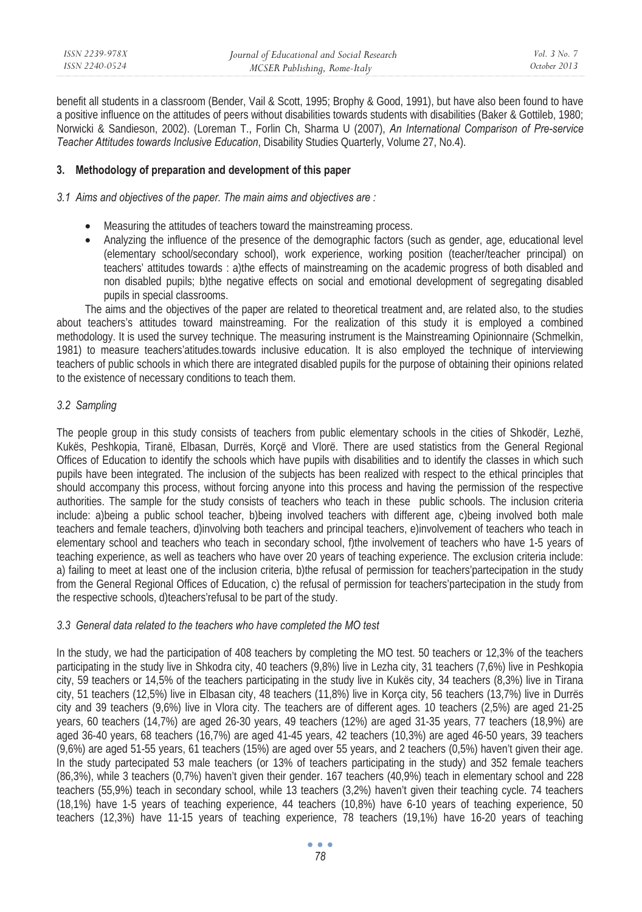| ISSN 2239-978X | Journal of Educational and Social Research | Vol. 3 No. 7 |
|----------------|--------------------------------------------|--------------|
| ISSN 2240-0524 | MCSER Publishing, Rome-Italy               | October 2013 |

benefit all students in a classroom (Bender, Vail & Scott, 1995; Brophy & Good, 1991), but have also been found to have a positive influence on the attitudes of peers without disabilities towards students with disabilities (Baker & Gottileb, 1980; Norwicki & Sandieson, 2002). (Loreman T., Forlin Ch, Sharma U (2007), *An International Comparison of Pre-service Teacher Attitudes towards Inclusive Education*, Disability Studies Quarterly, Volume 27, No.4).

#### **3. Methodology of preparation and development of this paper**

#### *3.1 Aims and objectives of the paper. The main aims and objectives are :*

- Measuring the attitudes of teachers toward the mainstreaming process.
- Analyzing the influence of the presence of the demographic factors (such as gender, age, educational level (elementary school/secondary school), work experience, working position (teacher/teacher principal) on teachers' attitudes towards : a)the effects of mainstreaming on the academic progress of both disabled and non disabled pupils; b)the negative effects on social and emotional development of segregating disabled pupils in special classrooms.

The aims and the objectives of the paper are related to theoretical treatment and, are related also, to the studies about teachers's attitudes toward mainstreaming. For the realization of this study it is employed a combined methodology. It is used the survey technique. The measuring instrument is the Mainstreaming Opinionnaire (Schmelkin, 1981) to measure teachers'atitudes.towards inclusive education. It is also employed the technique of interviewing teachers of public schools in which there are integrated disabled pupils for the purpose of obtaining their opinions related to the existence of necessary conditions to teach them.

## *3.2 Sampling*

The people group in this study consists of teachers from public elementary schools in the cities of Shkodër, Lezhë, Kukës, Peshkopia, Tiranë, Elbasan, Durrës, Korçë and Vlorë. There are used statistics from the General Regional Offices of Education to identify the schools which have pupils with disabilities and to identify the classes in which such pupils have been integrated. The inclusion of the subjects has been realized with respect to the ethical principles that should accompany this process, without forcing anyone into this process and having the permission of the respective authorities. The sample for the study consists of teachers who teach in these public schools. The inclusion criteria include: a)being a public school teacher, b)being involved teachers with different age, c)being involved both male teachers and female teachers, d)involving both teachers and principal teachers, e)involvement of teachers who teach in elementary school and teachers who teach in secondary school, f)the involvement of teachers who have 1-5 years of teaching experience, as well as teachers who have over 20 years of teaching experience. The exclusion criteria include: a) failing to meet at least one of the inclusion criteria, b)the refusal of permission for teachers'partecipation in the study from the General Regional Offices of Education, c) the refusal of permission for teachers'partecipation in the study from the respective schools, d)teachers'refusal to be part of the study.

#### *3.3 General data related to the teachers who have completed the MO test*

In the study, we had the participation of 408 teachers by completing the MO test. 50 teachers or 12,3% of the teachers participating in the study live in Shkodra city, 40 teachers (9,8%) live in Lezha city, 31 teachers (7,6%) live in Peshkopia city, 59 teachers or 14,5% of the teachers participating in the study live in Kukës city, 34 teachers (8,3%) live in Tirana city, 51 teachers (12,5%) live in Elbasan city, 48 teachers (11,8%) live in Korça city, 56 teachers (13,7%) live in Durrës city and 39 teachers (9,6%) live in Vlora city. The teachers are of different ages. 10 teachers (2,5%) are aged 21-25 years, 60 teachers (14,7%) are aged 26-30 years, 49 teachers (12%) are aged 31-35 years, 77 teachers (18,9%) are aged 36-40 years, 68 teachers (16,7%) are aged 41-45 years, 42 teachers (10,3%) are aged 46-50 years, 39 teachers (9,6%) are aged 51-55 years, 61 teachers (15%) are aged over 55 years, and 2 teachers (0,5%) haven't given their age. In the study partecipated 53 male teachers (or 13% of teachers participating in the study) and 352 female teachers (86,3%), while 3 teachers (0,7%) haven't given their gender. 167 teachers (40,9%) teach in elementary school and 228 teachers (55,9%) teach in secondary school, while 13 teachers (3,2%) haven't given their teaching cycle. 74 teachers (18,1%) have 1-5 years of teaching experience, 44 teachers (10,8%) have 6-10 years of teaching experience, 50 teachers (12,3%) have 11-15 years of teaching experience, 78 teachers (19,1%) have 16-20 years of teaching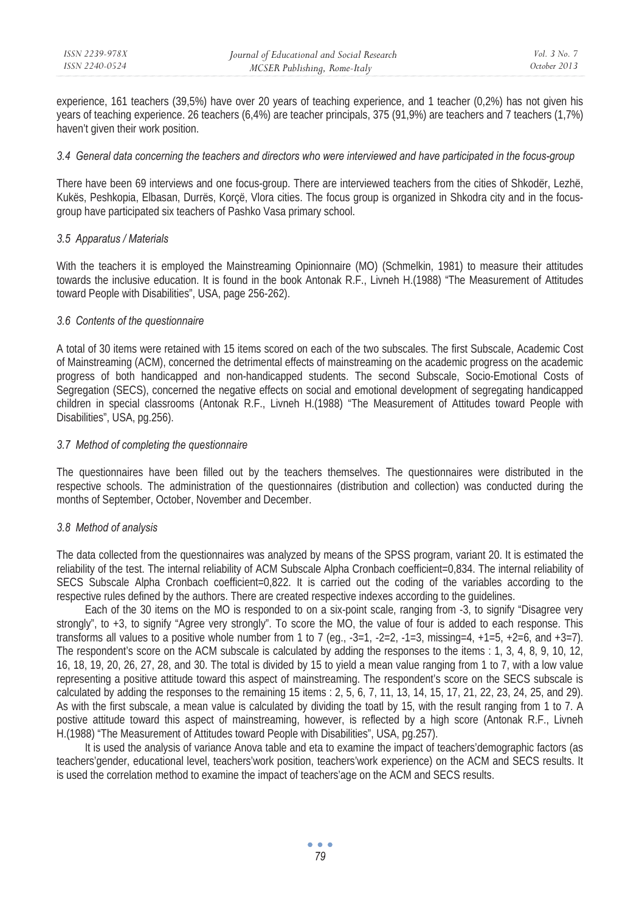experience, 161 teachers (39,5%) have over 20 years of teaching experience, and 1 teacher (0,2%) has not given his years of teaching experience. 26 teachers (6,4%) are teacher principals, 375 (91,9%) are teachers and 7 teachers (1,7%) haven't given their work position.

#### *3.4 General data concerning the teachers and directors who were interviewed and have participated in the focus-group*

There have been 69 interviews and one focus-group. There are interviewed teachers from the cities of Shkodër, Lezhë, Kukës, Peshkopia, Elbasan, Durrës, Korçë, Vlora cities. The focus group is organized in Shkodra city and in the focusgroup have participated six teachers of Pashko Vasa primary school.

## *3.5 Apparatus / Materials*

With the teachers it is employed the Mainstreaming Opinionnaire (MO) (Schmelkin, 1981) to measure their attitudes towards the inclusive education. It is found in the book Antonak R.F., Livneh H.(1988) "The Measurement of Attitudes toward People with Disabilities", USA, page 256-262).

## *3.6 Contents of the questionnaire*

A total of 30 items were retained with 15 items scored on each of the two subscales. The first Subscale, Academic Cost of Mainstreaming (ACM), concerned the detrimental effects of mainstreaming on the academic progress on the academic progress of both handicapped and non-handicapped students. The second Subscale, Socio-Emotional Costs of Segregation (SECS), concerned the negative effects on social and emotional development of segregating handicapped children in special classrooms (Antonak R.F., Livneh H.(1988) "The Measurement of Attitudes toward People with Disabilities", USA, pg.256).

## *3.7 Method of completing the questionnaire*

The questionnaires have been filled out by the teachers themselves. The questionnaires were distributed in the respective schools. The administration of the questionnaires (distribution and collection) was conducted during the months of September, October, November and December.

# *3.8 Method of analysis*

The data collected from the questionnaires was analyzed by means of the SPSS program, variant 20. It is estimated the reliability of the test. The internal reliability of ACM Subscale Alpha Cronbach coefficient=0,834. The internal reliability of SECS Subscale Alpha Cronbach coefficient=0,822. It is carried out the coding of the variables according to the respective rules defined by the authors. There are created respective indexes according to the guidelines.

Each of the 30 items on the MO is responded to on a six-point scale, ranging from -3, to signify "Disagree very strongly", to +3, to signify "Agree very strongly". To score the MO, the value of four is added to each response. This transforms all values to a positive whole number from 1 to 7 (eq.,  $-3=1$ ,  $-2=2$ ,  $-1=3$ , missing=4,  $+1=5$ ,  $+2=6$ , and  $+3=7$ ). The respondent's score on the ACM subscale is calculated by adding the responses to the items : 1, 3, 4, 8, 9, 10, 12, 16, 18, 19, 20, 26, 27, 28, and 30. The total is divided by 15 to yield a mean value ranging from 1 to 7, with a low value representing a positive attitude toward this aspect of mainstreaming. The respondent's score on the SECS subscale is calculated by adding the responses to the remaining 15 items :  $2, 5, 6, 7, 11, 13, 14, 15, 17, 21, 22, 23, 24, 25, and 29$ . As with the first subscale, a mean value is calculated by dividing the toatl by 15, with the result ranging from 1 to 7. A postive attitude toward this aspect of mainstreaming, however, is reflected by a high score (Antonak R.F., Livneh H.(1988) "The Measurement of Attitudes toward People with Disabilities", USA, pg.257).

It is used the analysis of variance Anova table and eta to examine the impact of teachers'demographic factors (as teachers'gender, educational level, teachers'work position, teachers'work experience) on the ACM and SECS results. It is used the correlation method to examine the impact of teachers'age on the ACM and SECS results.

> $\bullet$   $\bullet$   $\bullet$ *79*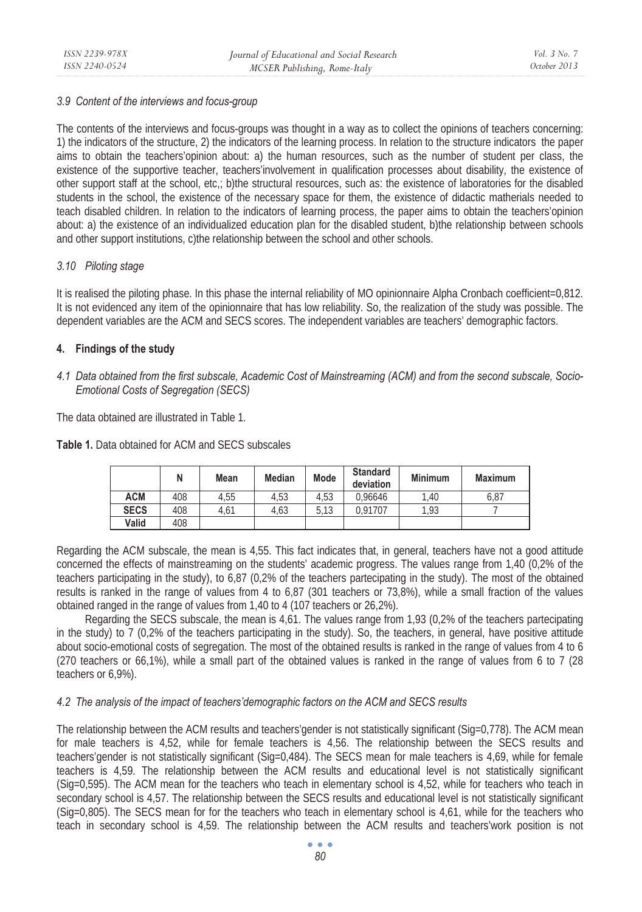## *3.9 Content of the interviews and focus-group*

The contents of the interviews and focus-groups was thought in a way as to collect the opinions of teachers concerning: 1) the indicators of the structure, 2) the indicators of the learning process. In relation to the structure indicators the paper aims to obtain the teachers'opinion about: a) the human resources, such as the number of student per class, the existence of the supportive teacher, teachers'involvement in qualification processes about disability, the existence of other support staff at the school, etc,; b)the structural resources, such as: the existence of laboratories for the disabled students in the school, the existence of the necessary space for them, the existence of didactic matherials needed to teach disabled children. In relation to the indicators of learning process, the paper aims to obtain the teachers'opinion about: a) the existence of an individualized education plan for the disabled student, b)the relationship between schools and other support institutions, c)the relationship between the school and other schools.

# *3.10 Piloting stage*

It is realised the piloting phase. In this phase the internal reliability of MO opinionnaire Alpha Cronbach coefficient=0,812. It is not evidenced any item of the opinionnaire that has low reliability. So, the realization of the study was possible. The dependent variables are the ACM and SECS scores. The independent variables are teachers' demographic factors.

# **4. Findings of the study**

# *4.1 Data obtained from the first subscale, Academic Cost of Mainstreaming (ACM) and from the second subscale, Socio-Emotional Costs of Segregation (SECS)*

The data obtained are illustrated in Table 1.

**Table 1.** Data obtained for ACM and SECS subscales

|             | N   | Mean | <b>Median</b> | Mode | <b>Standard</b><br>deviation | <b>Minimum</b> | <b>Maximum</b> |
|-------------|-----|------|---------------|------|------------------------------|----------------|----------------|
| <b>ACM</b>  | 408 | 4.55 | 4.53          | 4.53 | 0.96646                      | 1.40           | 6.87           |
| <b>SECS</b> | 408 | 4.61 | 4.63          | 5.13 | 0.91707                      | 1.93           |                |
| Valid       | 408 |      |               |      |                              |                |                |

Regarding the ACM subscale, the mean is 4,55. This fact indicates that, in general, teachers have not a good attitude concerned the effects of mainstreaming on the students' academic progress. The values range from 1,40 (0,2% of the teachers participating in the study), to 6,87 (0,2% of the teachers partecipating in the study). The most of the obtained results is ranked in the range of values from 4 to 6,87 (301 teachers or 73,8%), while a small fraction of the values obtained ranged in the range of values from 1,40 to 4 (107 teachers or 26,2%).

Regarding the SECS subscale, the mean is 4,61. The values range from 1,93 (0,2% of the teachers partecipating in the study) to 7 (0,2% of the teachers participating in the study). So, the teachers, in general, have positive attitude about socio-emotional costs of segregation. The most of the obtained results is ranked in the range of values from 4 to 6 (270 teachers or 66,1%), while a small part of the obtained values is ranked in the range of values from 6 to 7 (28 teachers or 6,9%).

# *4.2 The analysis of the impact of teachers'demographic factors on the ACM and SECS results*

The relationship between the ACM results and teachers'gender is not statistically significant (Sig=0,778). The ACM mean for male teachers is 4,52, while for female teachers is 4,56. The relationship between the SECS results and teachers'gender is not statistically significant (Sig=0,484). The SECS mean for male teachers is 4,69, while for female teachers is 4,59. The relationship between the ACM results and educational level is not statistically significant (Sig=0,595). The ACM mean for the teachers who teach in elementary school is 4,52, while for teachers who teach in secondary school is 4,57. The relationship between the SECS results and educational level is not statistically significant (Sig=0,805). The SECS mean for for the teachers who teach in elementary school is 4,61, while for the teachers who teach in secondary school is 4,59. The relationship between the ACM results and teachers'work position is not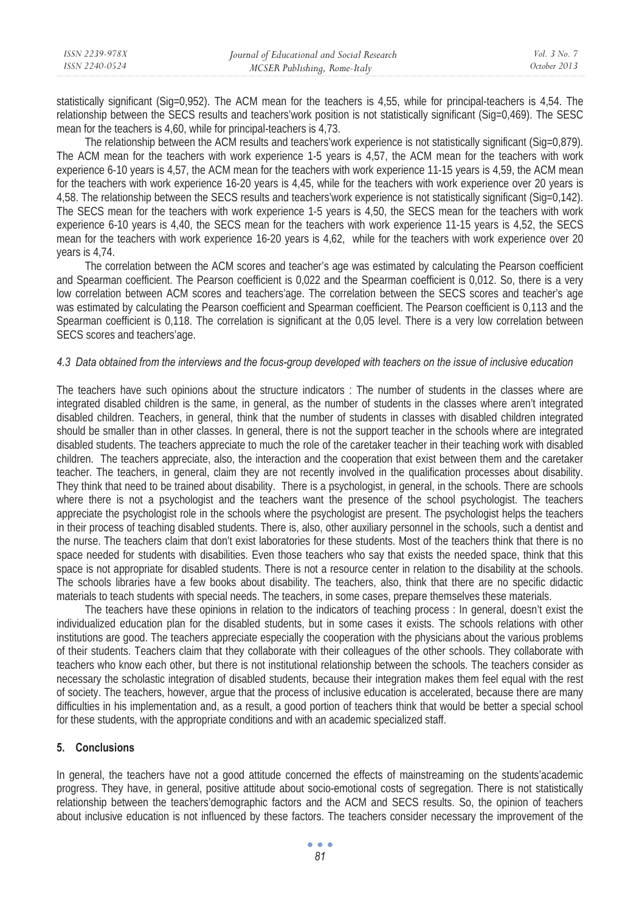| ISSN 2239-978X | Journal of Educational and Social Research | Vol. 3 No. 7 |
|----------------|--------------------------------------------|--------------|
| ISSN 2240-0524 | MCSER Publishing, Rome-Italy               | October 2013 |
|                |                                            |              |

statistically significant (Sig=0,952). The ACM mean for the teachers is 4,55, while for principal-teachers is 4,54. The relationship between the SECS results and teachers'work position is not statistically significant (Sig=0,469). The SESC mean for the teachers is 4,60, while for principal-teachers is 4,73.

The relationship between the ACM results and teachers' work experience is not statistically significant (Sig=0,879). The ACM mean for the teachers with work experience 1-5 years is 4,57, the ACM mean for the teachers with work experience 6-10 years is 4,57, the ACM mean for the teachers with work experience 11-15 years is 4,59, the ACM mean for the teachers with work experience 16-20 years is 4,45, while for the teachers with work experience over 20 years is 4,58. The relationship between the SECS results and teachers'work experience is not statistically significant (Sig=0,142). The SECS mean for the teachers with work experience 1-5 years is 4,50, the SECS mean for the teachers with work experience 6-10 years is 4,40, the SECS mean for the teachers with work experience 11-15 years is 4,52, the SECS mean for the teachers with work experience 16-20 years is 4,62, while for the teachers with work experience over 20 years is 4,74.

The correlation between the ACM scores and teacher's age was estimated by calculating the Pearson coefficient and Spearman coefficient. The Pearson coefficient is 0,022 and the Spearman coefficient is 0,012. So, there is a very low correlation between ACM scores and teachers'age. The correlation between the SECS scores and teacher's age was estimated by calculating the Pearson coefficient and Spearman coefficient. The Pearson coefficient is 0,113 and the Spearman coefficient is 0,118. The correlation is significant at the 0,05 level. There is a very low correlation between SECS scores and teachers'age.

#### *4.3 Data obtained from the interviews and the focus-group developed with teachers on the issue of inclusive education*

The teachers have such opinions about the structure indicators : The number of students in the classes where are integrated disabled children is the same, in general, as the number of students in the classes where aren't integrated disabled children. Teachers, in general, think that the number of students in classes with disabled children integrated should be smaller than in other classes. In general, there is not the support teacher in the schools where are integrated disabled students. The teachers appreciate to much the role of the caretaker teacher in their teaching work with disabled children. The teachers appreciate, also, the interaction and the cooperation that exist between them and the caretaker teacher. The teachers, in general, claim they are not recently involved in the qualification processes about disability. They think that need to be trained about disability. There is a psychologist, in general, in the schools. There are schools where there is not a psychologist and the teachers want the presence of the school psychologist. The teachers appreciate the psychologist role in the schools where the psychologist are present. The psychologist helps the teachers in their process of teaching disabled students. There is, also, other auxiliary personnel in the schools, such a dentist and the nurse. The teachers claim that don't exist laboratories for these students. Most of the teachers think that there is no space needed for students with disabilities. Even those teachers who say that exists the needed space, think that this space is not appropriate for disabled students. There is not a resource center in relation to the disability at the schools. The schools libraries have a few books about disability. The teachers, also, think that there are no specific didactic materials to teach students with special needs. The teachers, in some cases, prepare themselves these materials.

The teachers have these opinions in relation to the indicators of teaching process : In general, doesn't exist the individualized education plan for the disabled students, but in some cases it exists. The schools relations with other institutions are good. The teachers appreciate especially the cooperation with the physicians about the various problems of their students. Teachers claim that they collaborate with their colleagues of the other schools. They collaborate with teachers who know each other, but there is not institutional relationship between the schools. The teachers consider as necessary the scholastic integration of disabled students, because their integration makes them feel equal with the rest of society. The teachers, however, argue that the process of inclusive education is accelerated, because there are many difficulties in his implementation and, as a result, a good portion of teachers think that would be better a special school for these students, with the appropriate conditions and with an academic specialized staff.

#### **5. Conclusions**

In general, the teachers have not a good attitude concerned the effects of mainstreaming on the students'academic progress. They have, in general, positive attitude about socio-emotional costs of segregation. There is not statistically relationship between the teachers'demographic factors and the ACM and SECS results. So, the opinion of teachers about inclusive education is not influenced by these factors. The teachers consider necessary the improvement of the